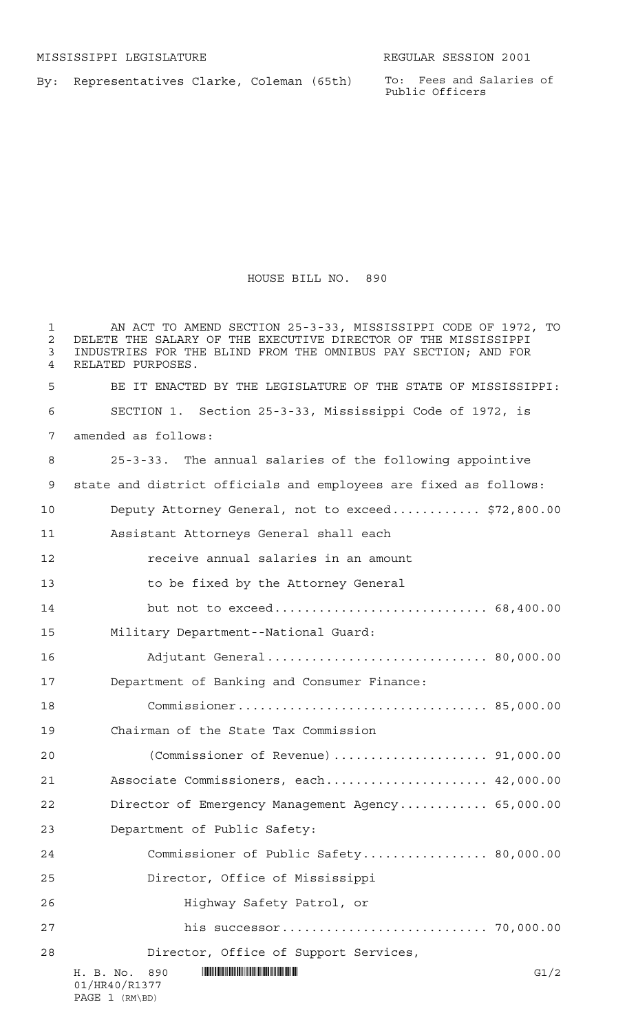By: Representatives Clarke, Coleman (65th)

To: Fees and Salaries of Public Officers

## HOUSE BILL NO. 890

| ı<br>$\overline{2}$<br>3<br>4 | AN ACT TO AMEND SECTION 25-3-33, MISSISSIPPI CODE OF 1972, TO<br>DELETE THE SALARY OF THE EXECUTIVE DIRECTOR OF THE MISSISSIPPI<br>INDUSTRIES FOR THE BLIND FROM THE OMNIBUS PAY SECTION; AND FOR<br>RELATED PURPOSES. |
|-------------------------------|------------------------------------------------------------------------------------------------------------------------------------------------------------------------------------------------------------------------|
| 5                             | BE IT ENACTED BY THE LEGISLATURE OF THE STATE OF MISSISSIPPI:                                                                                                                                                          |
| 6                             | SECTION 1. Section 25-3-33, Mississippi Code of 1972, is                                                                                                                                                               |
| 7                             | amended as follows:                                                                                                                                                                                                    |
| 8                             | 25-3-33. The annual salaries of the following appointive                                                                                                                                                               |
| 9                             | state and district officials and employees are fixed as follows:                                                                                                                                                       |
| 10                            | Deputy Attorney General, not to exceed \$72,800.00                                                                                                                                                                     |
| 11                            | Assistant Attorneys General shall each                                                                                                                                                                                 |
| 12                            | receive annual salaries in an amount                                                                                                                                                                                   |
| 13                            | to be fixed by the Attorney General                                                                                                                                                                                    |
| 14                            | but not to exceed 68,400.00                                                                                                                                                                                            |
| 15                            | Military Department--National Guard:                                                                                                                                                                                   |
| 16                            | Adjutant General 80,000.00                                                                                                                                                                                             |
| 17                            | Department of Banking and Consumer Finance:                                                                                                                                                                            |
| 18                            |                                                                                                                                                                                                                        |
| 19                            | Chairman of the State Tax Commission                                                                                                                                                                                   |
| 20                            |                                                                                                                                                                                                                        |
| 21                            | Associate Commissioners, each 42,000.00                                                                                                                                                                                |
| 22                            | Director of Emergency Management Agency 65,000.00                                                                                                                                                                      |
| 23                            | Department of Public Safety:                                                                                                                                                                                           |
| 24                            | Commissioner of Public Safety 80,000.00                                                                                                                                                                                |
| 25                            | Director, Office of Mississippi                                                                                                                                                                                        |
| 26                            | Highway Safety Patrol, or                                                                                                                                                                                              |
| 27                            |                                                                                                                                                                                                                        |
| 28                            | Director, Office of Support Services,                                                                                                                                                                                  |
|                               | G1/2<br>H. B. No. 890<br>01/HR40/R1377<br>PAGE 1 (RM\BD)                                                                                                                                                               |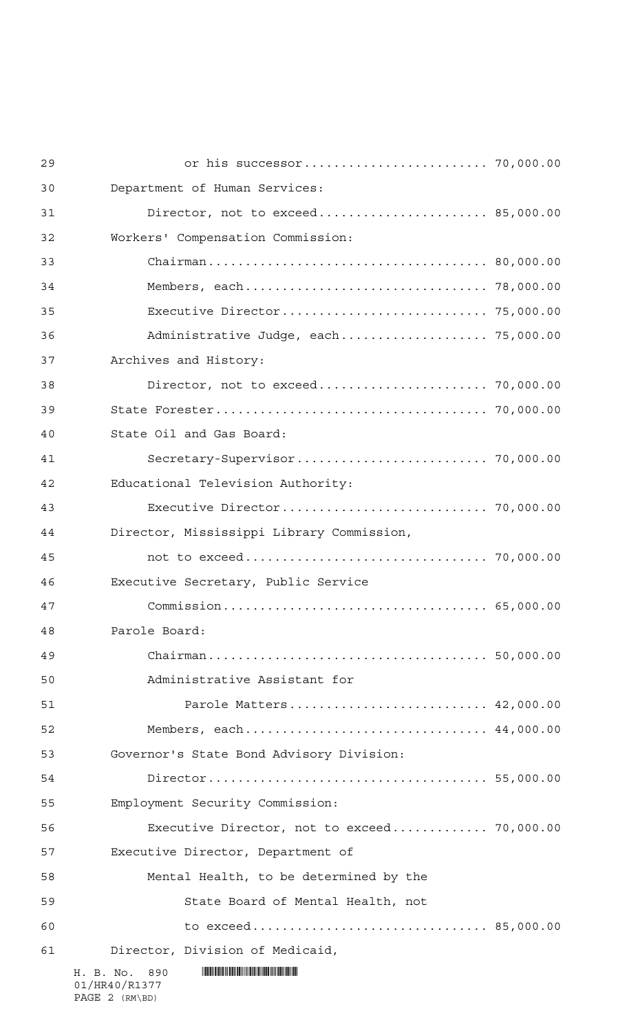| 29 |                                                     |  |
|----|-----------------------------------------------------|--|
| 30 | Department of Human Services:                       |  |
| 31 | Director, not to exceed 85,000.00                   |  |
| 32 | Workers' Compensation Commission:                   |  |
| 33 |                                                     |  |
| 34 |                                                     |  |
| 35 |                                                     |  |
| 36 | Administrative Judge, each 75,000.00                |  |
| 37 | Archives and History:                               |  |
| 38 |                                                     |  |
| 39 |                                                     |  |
| 40 | State Oil and Gas Board:                            |  |
| 41 |                                                     |  |
| 42 | Educational Television Authority:                   |  |
| 43 |                                                     |  |
| 44 | Director, Mississippi Library Commission,           |  |
| 45 |                                                     |  |
| 46 | Executive Secretary, Public Service                 |  |
| 47 |                                                     |  |
| 48 | Parole Board:                                       |  |
| 49 |                                                     |  |
| 50 | Administrative Assistant for                        |  |
| 51 | Parole Matters 42,000.00                            |  |
| 52 | Members, each 44,000.00                             |  |
| 53 | Governor's State Bond Advisory Division:            |  |
| 54 |                                                     |  |
| 55 | Employment Security Commission:                     |  |
| 56 | Executive Director, not to exceed 70,000.00         |  |
| 57 | Executive Director, Department of                   |  |
| 58 | Mental Health, to be determined by the              |  |
| 59 | State Board of Mental Health, not                   |  |
| 60 | to exceed 85,000.00                                 |  |
| 61 | Director, Division of Medicaid,                     |  |
|    | H. B. No.<br>890<br>01/HR40/R1377<br>PAGE 2 (RM\BD) |  |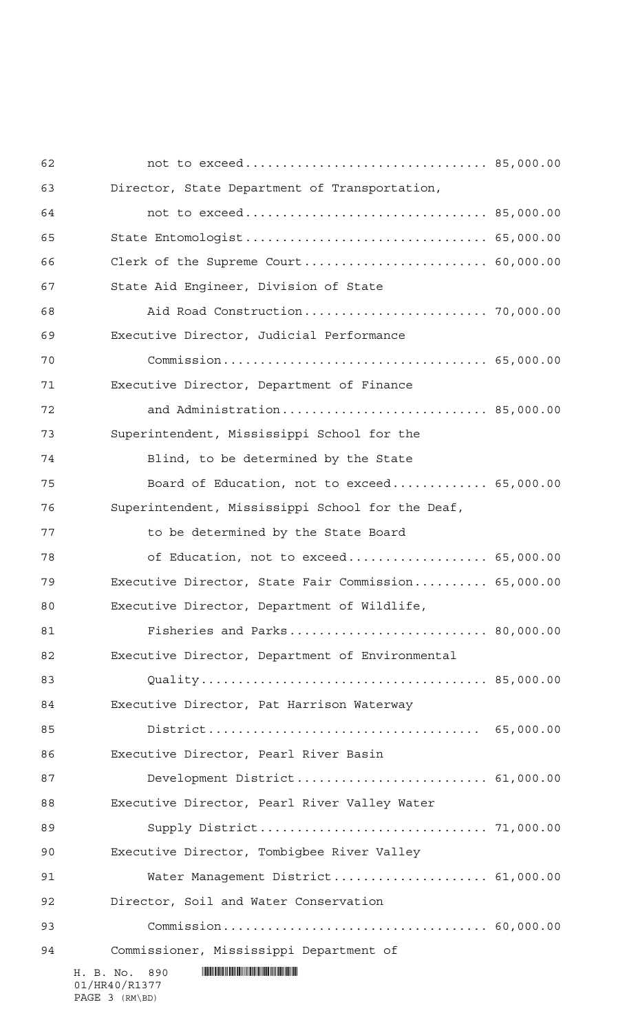| 62 |                                                     |  |
|----|-----------------------------------------------------|--|
| 63 | Director, State Department of Transportation,       |  |
| 64 |                                                     |  |
| 65 | State Entomologist 65,000.00                        |  |
| 66 |                                                     |  |
| 67 | State Aid Engineer, Division of State               |  |
| 68 |                                                     |  |
| 69 | Executive Director, Judicial Performance            |  |
| 70 |                                                     |  |
| 71 | Executive Director, Department of Finance           |  |
| 72 | and Administration 85,000.00                        |  |
| 73 | Superintendent, Mississippi School for the          |  |
| 74 | Blind, to be determined by the State                |  |
| 75 | Board of Education, not to exceed 65,000.00         |  |
| 76 | Superintendent, Mississippi School for the Deaf,    |  |
| 77 | to be determined by the State Board                 |  |
| 78 | of Education, not to exceed 65,000.00               |  |
| 79 | Executive Director, State Fair Commission 65,000.00 |  |
| 80 | Executive Director, Department of Wildlife,         |  |
| 81 | Fisheries and Parks 80,000.00                       |  |
| 82 | Executive Director, Department of Environmental     |  |
| 83 |                                                     |  |
| 84 | Executive Director, Pat Harrison Waterway           |  |
| 85 |                                                     |  |
| 86 | Executive Director, Pearl River Basin               |  |
| 87 | Development District 61,000.00                      |  |
| 88 | Executive Director, Pearl River Valley Water        |  |
| 89 |                                                     |  |
| 90 | Executive Director, Tombigbee River Valley          |  |
| 91 | Water Management District 61,000.00                 |  |
| 92 | Director, Soil and Water Conservation               |  |
| 93 |                                                     |  |
| 94 | Commissioner, Mississippi Department of             |  |
|    | H. B. No.<br>890<br>01/HR40/R1377                   |  |

PAGE 3 (RM\BD)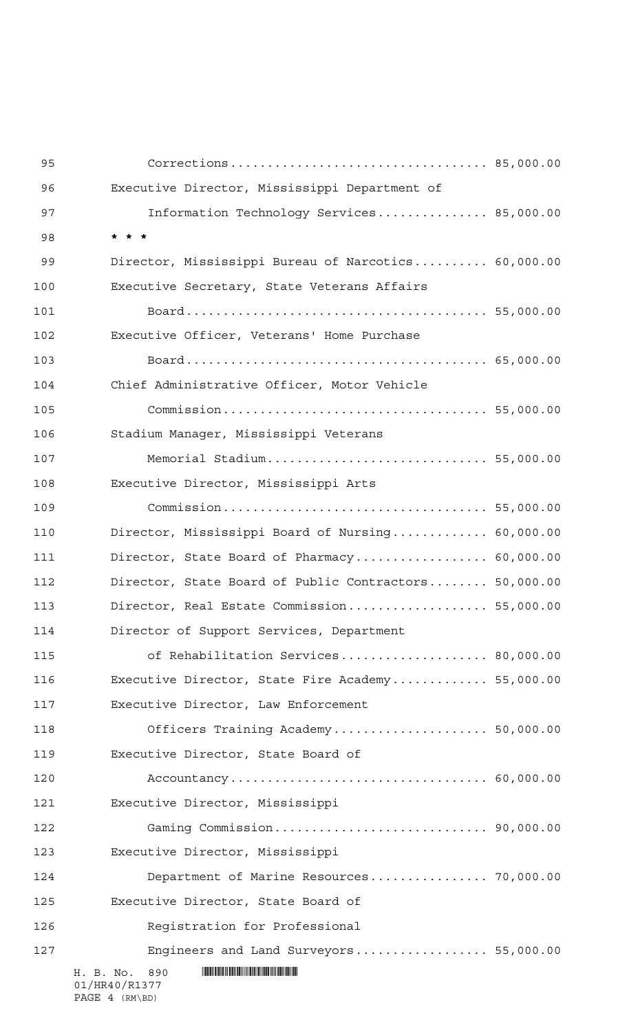| 95  |                                                       |  |
|-----|-------------------------------------------------------|--|
| 96  | Executive Director, Mississippi Department of         |  |
| 97  | Information Technology Services 85,000.00             |  |
| 98  |                                                       |  |
| 99  | Director, Mississippi Bureau of Narcotics 60,000.00   |  |
| 100 | Executive Secretary, State Veterans Affairs           |  |
| 101 |                                                       |  |
| 102 | Executive Officer, Veterans' Home Purchase            |  |
| 103 |                                                       |  |
| 104 | Chief Administrative Officer, Motor Vehicle           |  |
| 105 |                                                       |  |
| 106 | Stadium Manager, Mississippi Veterans                 |  |
| 107 | Memorial Stadium 55,000.00                            |  |
| 108 | Executive Director, Mississippi Arts                  |  |
| 109 |                                                       |  |
| 110 | Director, Mississippi Board of Nursing 60,000.00      |  |
| 111 | Director, State Board of Pharmacy 60,000.00           |  |
| 112 | Director, State Board of Public Contractors 50,000.00 |  |
| 113 | Director, Real Estate Commission 55,000.00            |  |
| 114 | Director of Support Services, Department              |  |
| 115 | of Rehabilitation Services 80,000.00                  |  |
| 116 | Executive Director, State Fire Academy 55,000.00      |  |
| 117 | Executive Director, Law Enforcement                   |  |
| 118 | Officers Training Academy 50,000.00                   |  |
| 119 | Executive Director, State Board of                    |  |
| 120 |                                                       |  |
| 121 | Executive Director, Mississippi                       |  |
| 122 |                                                       |  |
| 123 | Executive Director, Mississippi                       |  |
| 124 | Department of Marine Resources 70,000.00              |  |
| 125 | Executive Director, State Board of                    |  |
| 126 | Registration for Professional                         |  |
| 127 | Engineers and Land Surveyors 55,000.00                |  |
|     | H. B. No.<br>890<br>01/HR40/R1377                     |  |

PAGE 4 (RM\BD)